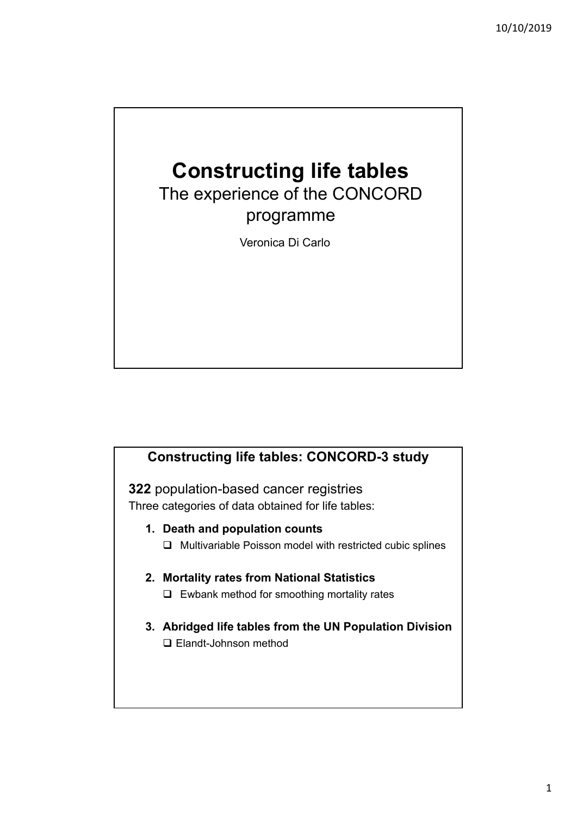## **Constructing life tables**

The experience of the CONCORD programme

Veronica Di Carlo

## **Constructing life tables: CONCORD-3 study**

**322** population-based cancer registries Three categories of data obtained for life tables:

- **1. Death and population counts**
	- $\Box$  Multivariable Poisson model with restricted cubic splines

## **2. Mortality rates from National Statistics**

- $\Box$  Ewbank method for smoothing mortality rates
- **3. Abridged life tables from the UN Population Division** □ Elandt-Johnson method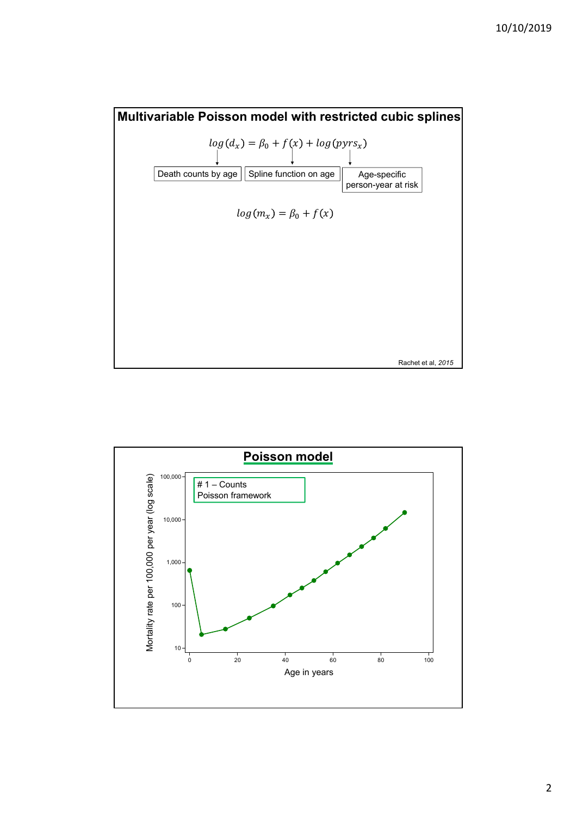

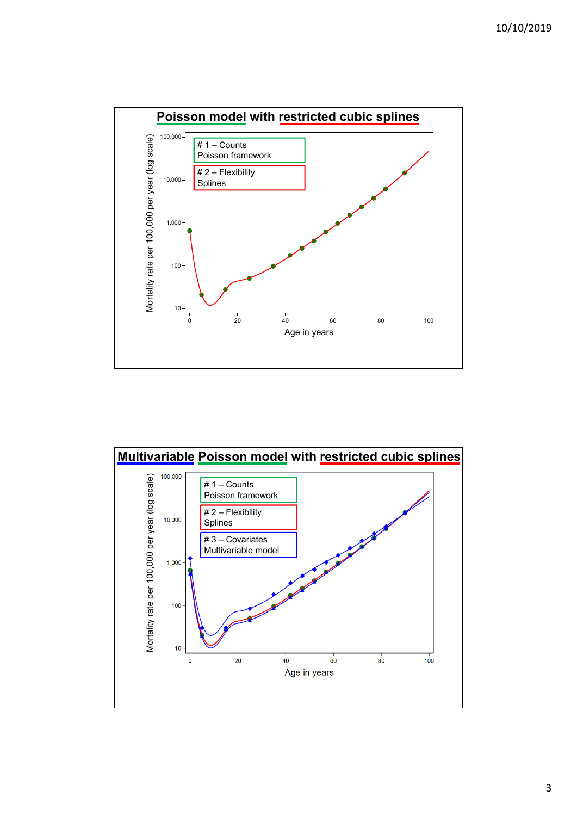

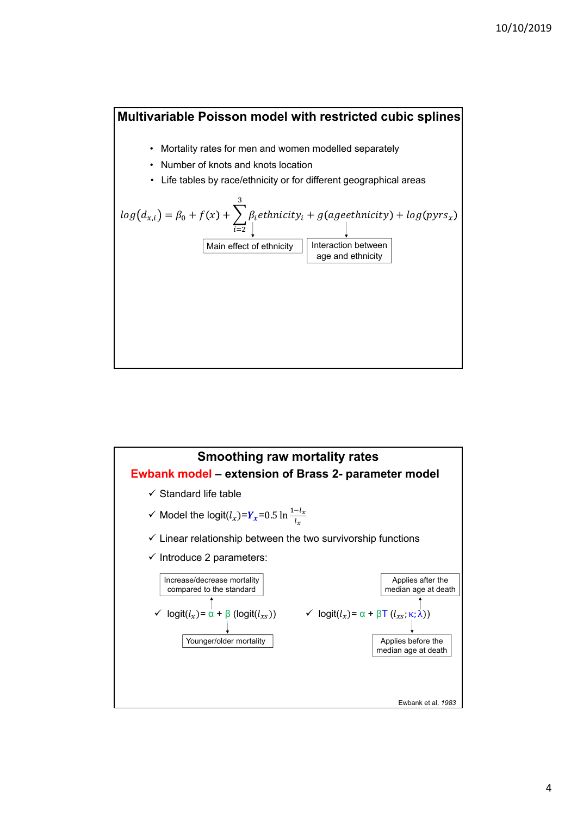



4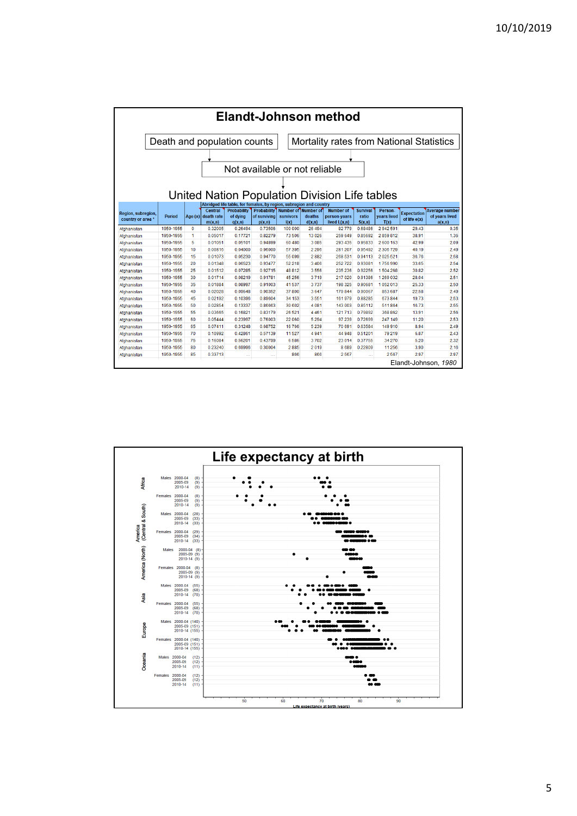| <b>Elandt-Johnson method</b>                  |                      |                               |            |                                                                                          |                    |                  |                     |                                          |                 |             |                                    |                       |  |  |
|-----------------------------------------------|----------------------|-------------------------------|------------|------------------------------------------------------------------------------------------|--------------------|------------------|---------------------|------------------------------------------|-----------------|-------------|------------------------------------|-----------------------|--|--|
|                                               |                      |                               |            | Death and population counts                                                              |                    |                  |                     | Mortality rates from National Statistics |                 |             |                                    |                       |  |  |
|                                               |                      |                               |            |                                                                                          |                    |                  |                     |                                          |                 |             |                                    |                       |  |  |
|                                               |                      |                               |            |                                                                                          |                    |                  |                     |                                          |                 |             |                                    |                       |  |  |
|                                               |                      | Not available or not reliable |            |                                                                                          |                    |                  |                     |                                          |                 |             |                                    |                       |  |  |
|                                               |                      |                               |            |                                                                                          |                    |                  |                     |                                          |                 |             |                                    |                       |  |  |
|                                               |                      |                               |            |                                                                                          |                    |                  |                     |                                          |                 |             |                                    |                       |  |  |
| United Nation Population Division Life tables |                      |                               |            |                                                                                          |                    |                  |                     |                                          |                 |             |                                    |                       |  |  |
|                                               |                      |                               |            |                                                                                          |                    |                  |                     |                                          |                 |             |                                    |                       |  |  |
|                                               |                      |                               | Central    | Abridged life table, for females, by region, subregion and country<br><b>Probability</b> | <b>Probability</b> |                  | Number of Number of | <b>Number of</b>                         | <b>Survival</b> | Person-     |                                    | <b>Average number</b> |  |  |
| Region, subregion.<br>country or area*        | Period               | Age $(x)$                     | death rate | of dvina                                                                                 | of surviving       | <b>survivors</b> | deaths              | person-years                             | ratio           | vears lived | <b>Expectation</b><br>of life e(x) | of years lived        |  |  |
|                                               |                      |                               | m(x, n)    | q(x,n)                                                                                   | p(x,n)             | I(x)             | d(x, n)             | lived $L(x, n)$                          | S(x, n)         | T(x)        |                                    | a(x,n)                |  |  |
| Afghanistan                                   | 1950-1955            | $\mathbf 0$                   | 0.32005    | 0.26494                                                                                  | 0.73506            | 100 000          | 26 494              | 82779                                    | 0.68486         | 2942591     | 29.43                              | 0.35                  |  |  |
| Afghanistan                                   | 1950-1955            | 1                             | 0.05017    | 0.17721                                                                                  | 0.82279            | 73506            | 13026               | 259 649                                  | 0.85692         | 2859812     | 38.91                              | 1.36                  |  |  |
| Afghanistan                                   | 1950-1955            | 5                             | 0.01051    | 0.05101                                                                                  | 0.94899            | 60 480           | 3085                | 293 435                                  | 0.95833         | 2 600 163   | 42.99                              | 2.09                  |  |  |
| Afahanistan                                   | 1950-1955            | 10                            | 0.00816    | 0.04000                                                                                  | 0.96000            | 57 395           | 2296                | 281 207                                  | 0.95492         | 2 306 729   | 40.19                              | 2.49                  |  |  |
| Afghanistan                                   | 1950-1955            | 15                            | 0.01073    | 0.05230                                                                                  | 0.94770            | 55 099           | 2882                | 268 531                                  | 0.94113         | 2025521     | 36.76                              | 2.58                  |  |  |
| Afghanistan                                   | 1950-1955            | 20                            | 0.01348    | 0.06523                                                                                  | 0.93477            | 52 218           | 3 4 0 6             | 252722                                   | 0.93081         | 1756990     | 33.65                              | 2.54                  |  |  |
| Afghanistan                                   | 1950-1955            | 25                            | 0.01512    | 0.07285                                                                                  | 0.92715            | 48812            | 3556                | 235 236                                  | 0.92256         | 1504268     | 30.82                              | 2.52                  |  |  |
| Afghanistan                                   | 1950-1955            | 30                            | 0.01714    | 0.08219                                                                                  | 0.91781            | 45 256           | 3719                | 217 020                                  | 0.91386         | 1269032     | 28.04                              | 2.51                  |  |  |
| Afghanistan                                   | 1950-1955            | 35                            | 0.01884    | 0.08997                                                                                  | 0.91003            | 41537            | 3737                | 198 325                                  | 0.90681         | 1052013     | 25.33                              | 2.50                  |  |  |
| Afghanistan                                   | 1950-1955            | 40                            | 0.02028    | 0.09648                                                                                  | 0.90352            | 37800            | 3647                | 179 844                                  | 0.90067         | 853 687     | 22.58                              | 2.49                  |  |  |
| Afghanistan                                   | 1950-1955            | 45                            | 0.02192    | 0 10396                                                                                  | 089604             | 34 153           | 3.551               | 161979                                   | 088285          | 673844      | 1973                               | 2.53                  |  |  |
| Afghanistan                                   | 1950-1955            | 50                            | 0.02854    | 0.13337                                                                                  | 0.86663            | 30 602           | 4081                | 143 003                                  | 0.85112         | 511864      | 16.73                              | 2.55                  |  |  |
| Afghanistan                                   | 1950-1955            | 55                            | 0.03665    | 0.16821                                                                                  | 0.83179            | 26 5 21          | 4461                | 121713                                   | 0.79892         | 368 862     | 13.91                              | 2.56                  |  |  |
| Afghanistan                                   | 1950-1955            | 60                            | 0.05444    | 0.23997                                                                                  | 0.76003            | 22 060           | 5 2 9 4             | 97 239                                   | 0.72699         | 247 149     | 11.20                              | 2.53                  |  |  |
| Afghanistan                                   | 1950-1955            | 65                            | 0.07411    | 0.31248                                                                                  | 0.68752            | 16766            | 5 2 3 9             | 70 691                                   | 0.63584         | 149 910     | 8.94                               | 2.49                  |  |  |
| Afghanistan                                   | 1950-1955            | 70                            | 0.10992    | 0.42861                                                                                  | 0.57139            | 11527            | 4941                | 44 948                                   | 0.51201         | 79 219      | 6.87                               | 2.43                  |  |  |
| Afghanistan                                   | 1950-1955            | 75                            | 0 16084    | 0.56201                                                                                  | 0.43799            | 6586             | 3702                | 23 014                                   | 0.37755         | 34 270      | 5.20                               | 2.32                  |  |  |
| Afghanistan                                   | 1950-1955            | 80                            | 0.23240    | 0.69996                                                                                  | 0.30004            | 2885             | 2019                | 8689                                     | 0.22809         | 11 256      | 3.90                               | 2.16                  |  |  |
| Afghanistan                                   | 1950-1955            | 85                            | 0.33713    |                                                                                          | $\mathbf{r}$       | 866              | 866                 | 2567                                     |                 | 2567        | 2.97                               | 2.97                  |  |  |
|                                               | Elandt-Johnson, 1980 |                               |            |                                                                                          |                    |                  |                     |                                          |                 |             |                                    |                       |  |  |